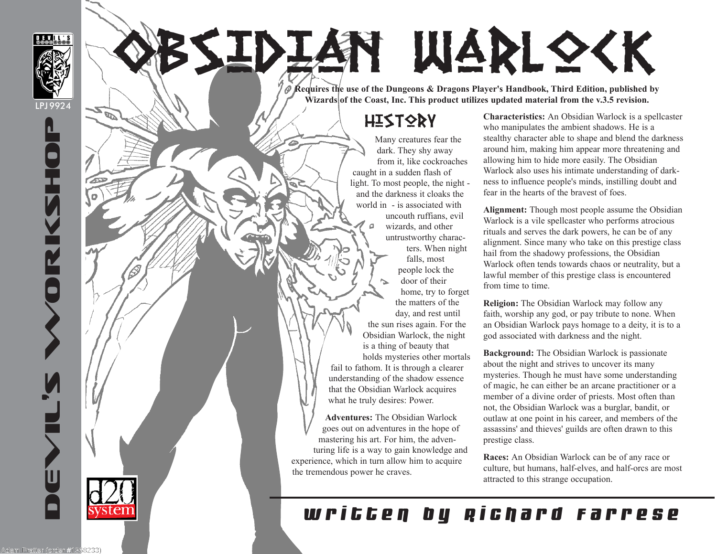

LPJ 9924

SSIDIAN WARLOCK

**Requires the use of the Dungeons & Dragons Player's Handbook, Third Edition, published by**  Wizards of the Coast, Inc. This product utilizes updated material from the v.3.5 revision.

#### **HISTORY**

Many creatures fear the dark. They shy away from it, like cockroaches caught in a sudden flash of light. To most people, the night and the darkness it cloaks the world in - is associated with uncouth ruffians, evil  $\Box$ wizards, and other untrustworthy characters. When night falls, most people lock the door of their home, try to forget the matters of the day, and rest until the sun rises again. For the Obsidian Warlock, the night is a thing of beauty that holds mysteries other mortals fail to fathom. It is through a clearer understanding of the shadow essence that the Obsidian Warlock acquires what he truly desires: Power.

**Adventures:** The Obsidian Warlock goes out on adventures in the hope of mastering his art. For him, the adventuring life is a way to gain knowledge and experience, which in turn allow him to acquire the tremendous power he craves.

**Characteristics:** An Obsidian Warlock is a spellcaster who manipulates the ambient shadows. He is a stealthy character able to shape and blend the darkness around him, making him appear more threatening and allowing him to hide more easily. The Obsidian Warlock also uses his intimate understanding of darkness to influence people's minds, instilling doubt and fear in the hearts of the bravest of foes.

**Alignment:** Though most people assume the Obsidian Warlock is a vile spellcaster who performs atrocious rituals and serves the dark powers, he can be of any alignment. Since many who take on this prestige class hail from the shadowy professions, the Obsidian Warlock often tends towards chaos or neutrality, but a lawful member of this prestige class is encountered from time to time.

**Religion:** The Obsidian Warlock may follow any faith, worship any god, or pay tribute to none. When an Obsidian Warlock pays homage to a deity, it is to a god associated with darkness and the night.

**Background:** The Obsidian Warlock is passionate about the night and strives to uncover its many mysteries. Though he must have some understanding of magic, he can either be an arcane practitioner or a member of a divine order of priests. Most often than not, the Obsidian Warlock was a burglar, bandit, or outlaw at one point in his career, and members of the assassins' and thieves' guilds are often drawn to this prestige class.

**Races:** An Obsidian Warlock can be of any race or culture, but humans, half-elves, and half-orcs are most attracted to this strange occupation.

## written by Richard Farrese

DEVIL'S WORKSHOP

୷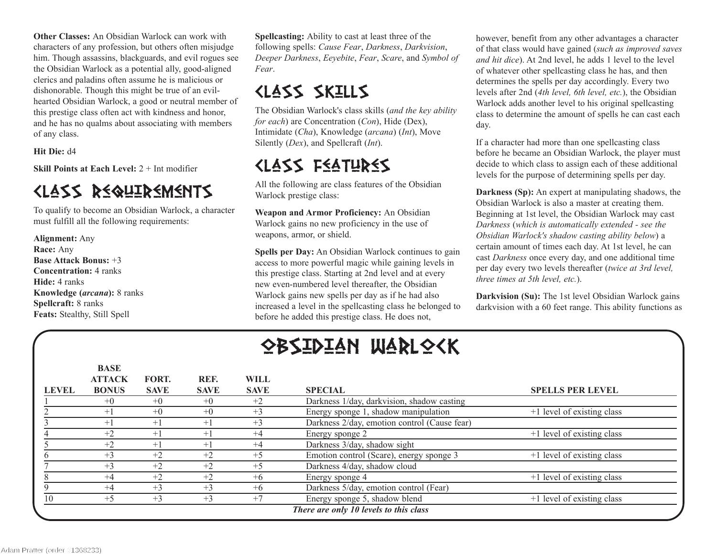**Other Classes:** An Obsidian Warlock can work with characters of any profession, but others often misjudge him. Though assassins, blackguards, and evil rogues see the Obsidian Warlock as a potential ally, good-aligned clerics and paladins often assume he is malicious or dishonorable. Though this might be true of an evilhearted Obsidian Warlock, a good or neutral member of this prestige class often act with kindness and honor, and he has no qualms about associating with members of any class.

**Hit Die:** d4

**Skill Points at Each Level:** 2 + Int modifier

#### Class Requirements

To qualify to become an Obsidian Warlock, a character must fulfill all the following requirements:

**Alignment:** Any **Race:** Any **Base Attack Bonus:** +3 **Concentration:** 4 ranks **Hide:** 4 ranks **Knowledge (***arcana***):** 8 ranks **Spellcraft:** 8 ranks **Feats:** Stealthy, Still Spell

**BASE**

**Spellcasting:** Ability to cast at least three of the following spells: *Cause Fear*, *Darkness*, *Darkvision*, *Deeper Darkness*, *Eeyebite*, *Fear*, *Scare*, and *Symbol of Fear*.

#### Class Skills

The Obsidian Warlock's class skills (*and the key ability for each*) are Concentration (*Con*), Hide (Dex), Intimidate (*Cha*), Knowledge (*arcana*) (*Int*), Move Silently (*Dex*), and Spellcraft (*Int*).

## Class Features

All the following are class features of the Obsidian Warlock prestige class:

**Weapon and Armor Proficiency:** An Obsidian Warlock gains no new proficiency in the use of weapons, armor, or shield.

**Spells per Day:** An Obsidian Warlock continues to gain access to more powerful magic while gaining levels in this prestige class. Starting at 2nd level and at every new even-numbered level thereafter, the Obsidian Warlock gains new spells per day as if he had also increased a level in the spellcasting class he belonged to before he added this prestige class. He does not,

however, benefit from any other advantages a character of that class would have gained (*such as improved saves and hit dice*). At 2nd level, he adds 1 level to the level of whatever other spellcasting class he has, and then determines the spells per day accordingly. Every two levels after 2nd (*4th level, 6th level, etc.*), the Obsidian Warlock adds another level to his original spellcasting class to determine the amount of spells he can cast each day.

If a character had more than one spellcasting class before he became an Obsidian Warlock, the player must decide to which class to assign each of these additional levels for the purpose of determining spells per day.

**Darkness (Sp):** An expert at manipulating shadows, the Obsidian Warlock is also a master at creating them. Beginning at 1st level, the Obsidian Warlock may cast *Darkness* (*which is automatically extended - see the Obsidian Warlock's shadow casting ability below*) a certain amount of times each day. At 1st level, he can cast *Darkness* once every day, and one additional time per day every two levels thereafter (*twice at 3rd level, three times at 5th level, etc.*).

**Darkvision (Su):** The 1st level Obsidian Warlock gains darkvision with a 60 feet range. This ability functions as

# obsidian warlock

|              | BASE<br><b>ATTACK</b> | FORT.       | REF.        | WILL        |                                              |                            |
|--------------|-----------------------|-------------|-------------|-------------|----------------------------------------------|----------------------------|
| <b>LEVEL</b> | <b>BONUS</b>          | <b>SAVE</b> | <b>SAVE</b> | <b>SAVE</b> | <b>SPECIAL</b>                               | <b>SPELLS PER LEVEL</b>    |
|              | $+0$                  | $+0$        | $+0$        | $+2$        | Darkness 1/day, darkvision, shadow casting   |                            |
|              | $+1$                  | $+0$        | $+0$        | $+3$        | Energy sponge 1, shadow manipulation         | +1 level of existing class |
|              | $+1$                  | $+1$        | $+1$        | $+3$        | Darkness 2/day, emotion control (Cause fear) |                            |
|              | $+2$                  | $+1$        | $+1$        | $+4$        | Energy sponge 2                              | +1 level of existing class |
|              | $+2$                  | $^{+1}$     | $+1$        | $+4$        | Darkness 3/day, shadow sight                 |                            |
|              | $+3$                  | $+2$        | $+2$        | $+5$        | Emotion control (Scare), energy sponge 3     | +1 level of existing class |
|              | $+3$                  | $+2$        | $+2$        | $+5$        | Darkness 4/day, shadow cloud                 |                            |
|              | $+4$                  | $+2$        | $+2$        | $+6$        | Energy sponge 4                              | +1 level of existing class |
|              | $+4$                  | $+3$        | $+3$        | $+6$        | Darkness 5/day, emotion control (Fear)       |                            |
| 10           | $+5$                  | $+3$        | $+3$        | $+7$        | Energy sponge 5, shadow blend                | +1 level of existing class |
|              |                       |             |             |             | There are only 10 levels to this class       |                            |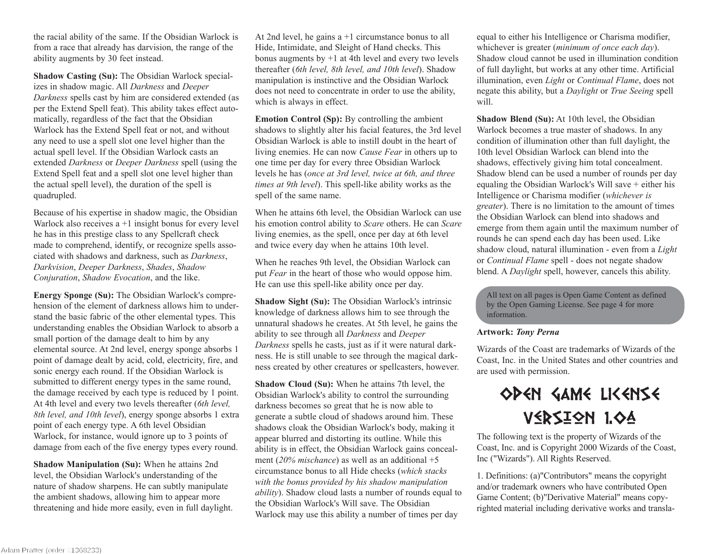the racial ability of the same. If the Obsidian Warlock is from a race that already has darvision, the range of the ability augments by 30 feet instead.

**Shadow Casting (Su):** The Obsidian Warlock specializes in shadow magic. All *Darkness* and *Deeper Darkness* spells cast by him are considered extended (as per the Extend Spell feat). This ability takes effect automatically, regardless of the fact that the Obsidian Warlock has the Extend Spell feat or not, and without any need to use a spell slot one level higher than the actual spell level. If the Obsidian Warlock casts an extended *Darkness* or *Deeper Darkness* spell (using the Extend Spell feat and a spell slot one level higher than the actual spell level), the duration of the spell is quadrupled.

Because of his expertise in shadow magic, the Obsidian Warlock also receives  $a + 1$  insight bonus for every level he has in this prestige class to any Spellcraft check made to comprehend, identify, or recognize spells associated with shadows and darkness, such as *Darkness*, *Darkvision*, *Deeper Darkness*, *Shades*, *Shadow Conjuration*, *Shadow Evocation*, and the like.

**Energy Sponge (Su):** The Obsidian Warlock's comprehension of the element of darkness allows him to understand the basic fabric of the other elemental types. This understanding enables the Obsidian Warlock to absorb a small portion of the damage dealt to him by any elemental source. At 2nd level, energy sponge absorbs 1 point of damage dealt by acid, cold, electricity, fire, and sonic energy each round. If the Obsidian Warlock is submitted to different energy types in the same round, the damage received by each type is reduced by 1 point. At 4th level and every two levels thereafter (*6th level, 8th level, and 10th level*), energy sponge absorbs 1 extra point of each energy type. A 6th level Obsidian Warlock, for instance, would ignore up to 3 points of damage from each of the five energy types every round.

**Shadow Manipulation (Su):** When he attains 2nd level, the Obsidian Warlock's understanding of the nature of shadow sharpens. He can subtly manipulate the ambient shadows, allowing him to appear more threatening and hide more easily, even in full daylight.

At 2nd level, he gains a +1 circumstance bonus to all Hide, Intimidate, and Sleight of Hand checks. This bonus augments by  $+1$  at 4th level and every two levels thereafter (*6th level, 8th level, and 10th level*). Shadow manipulation is instinctive and the Obsidian Warlock does not need to concentrate in order to use the ability, which is always in effect.

**Emotion Control (Sp):** By controlling the ambient shadows to slightly alter his facial features, the 3rd level Obsidian Warlock is able to instill doubt in the heart of living enemies. He can now *Cause Fear* in others up to one time per day for every three Obsidian Warlock levels he has (*once at 3rd level, twice at 6th, and three times at 9th level*). This spell-like ability works as the spell of the same name.

When he attains 6th level, the Obsidian Warlock can use his emotion control ability to *Scare* others. He can *Scare* living enemies, as the spell, once per day at 6th level and twice every day when he attains 10th level.

When he reaches 9th level, the Obsidian Warlock can put *Fear* in the heart of those who would oppose him. He can use this spell-like ability once per day.

**Shadow Sight (Su):** The Obsidian Warlock's intrinsic knowledge of darkness allows him to see through the unnatural shadows he creates. At 5th level, he gains the ability to see through all *Darkness* and *Deeper Darkness* spells he casts, just as if it were natural darkness. He is still unable to see through the magical darkness created by other creatures or spellcasters, however.

**Shadow Cloud (Su):** When he attains 7th level, the Obsidian Warlock's ability to control the surrounding darkness becomes so great that he is now able to generate a subtle cloud of shadows around him. These shadows cloak the Obsidian Warlock's body, making it appear blurred and distorting its outline. While this ability is in effect, the Obsidian Warlock gains concealment (*20% mischance*) as well as an additional +5 circumstance bonus to all Hide checks (*which stacks with the bonus provided by his shadow manipulation ability*). Shadow cloud lasts a number of rounds equal to the Obsidian Warlock's Will save. The Obsidian Warlock may use this ability a number of times per day

equal to either his Intelligence or Charisma modifier, whichever is greater (*minimum of once each day*). Shadow cloud cannot be used in illumination condition of full daylight, but works at any other time. Artificial illumination, even *Light* or *Continual Flame*, does not negate this ability, but a *Daylight* or *True Seeing* spell will.

**Shadow Blend (Su):** At 10th level, the Obsidian Warlock becomes a true master of shadows. In any condition of illumination other than full daylight, the 10th level Obsidian Warlock can blend into the shadows, effectively giving him total concealment. Shadow blend can be used a number of rounds per day equaling the Obsidian Warlock's Will save + either his Intelligence or Charisma modifier (*whichever is greater*). There is no limitation to the amount of times the Obsidian Warlock can blend into shadows and emerge from them again until the maximum number of rounds he can spend each day has been used. Like shadow cloud, natural illumination - even from a *Light* or *Continual Flame* spell - does not negate shadow blend. A *Daylight* spell, however, cancels this ability.

All text on all pages is Open Game Content as defined by the Open Gaming License. See page 4 for more information.

#### **Artwork:** *Tony Perna*

Wizards of the Coast are trademarks of Wizards of the Coast, Inc. in the United States and other countries and are used with permission.

## OPEN GAME LICENSE Version 1.0a

The following text is the property of Wizards of the Coast, Inc. and is Copyright 2000 Wizards of the Coast, Inc ("Wizards"). All Rights Reserved.

1. Definitions: (a)"Contributors" means the copyright and/or trademark owners who have contributed Open Game Content; (b)"Derivative Material" means copyrighted material including derivative works and transla-